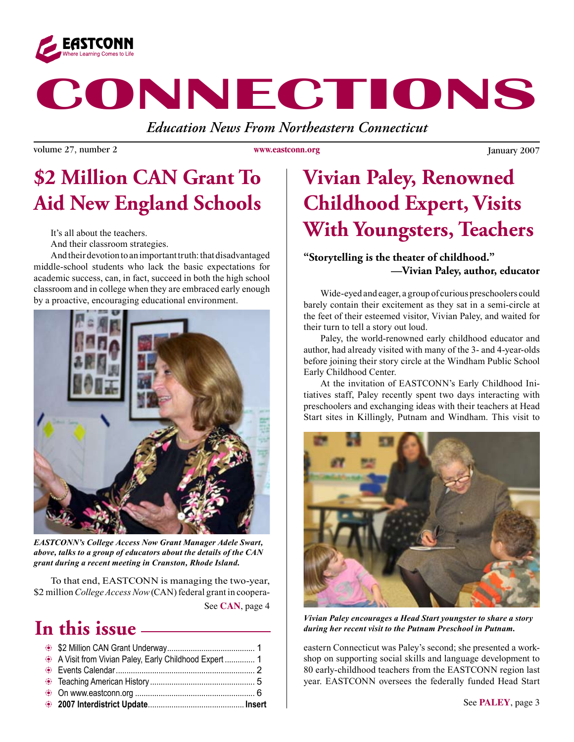

# **CONNECTIONS**

*Education News From Northeastern Connecticut*

volume 27, number 2 **WWW.extraonu.org** January 2007

**www.eastconn.org**

# **\$2 Million CAN Grant To Aid New England Schools**

It's all about the teachers.

And their classroom strategies.

And their devotion to an important truth: that disadvantaged middle-school students who lack the basic expectations for academic success, can, in fact, succeed in both the high school classroom and in college when they are embraced early enough by a proactive, encouraging educational environment.



*EASTCONN's College Access Now Grant Manager Adele Swart, above, talks to a group of educators about the details of the CAN grant during a recent meeting in Cranston, Rhode Island.* 

See **CAN**, page 4 To that end, EASTCONN is managing the two-year, \$2 million *College Access Now* (CAN) federal grant in coopera-

## **In this issue**

| A Visit from Vivian Paley, Early Childhood Expert  1 |  |
|------------------------------------------------------|--|
|                                                      |  |

# **Vivian Paley, Renowned Childhood Expert, Visits With Youngsters, Teachers**

#### **"Storytelling is the theater of childhood." —Vivian Paley, author, educator**

Wide-eyed and eager, a group of curious preschoolers could barely contain their excitement as they sat in a semi-circle at the feet of their esteemed visitor, Vivian Paley, and waited for their turn to tell a story out loud.

Paley, the world-renowned early childhood educator and author, had already visited with many of the 3- and 4-year-olds before joining their story circle at the Windham Public School Early Childhood Center.

At the invitation of EASTCONN's Early Childhood Initiatives staff, Paley recently spent two days interacting with preschoolers and exchanging ideas with their teachers at Head Start sites in Killingly, Putnam and Windham. This visit to



*Vivian Paley encourages a Head Start youngster to share a story during her recent visit to the Putnam Preschool in Putnam.* 

eastern Connecticut was Paley's second; she presented a workshop on supporting social skills and language development to 80 early-childhood teachers from the EASTCONN region last year. EASTCONN oversees the federally funded Head Start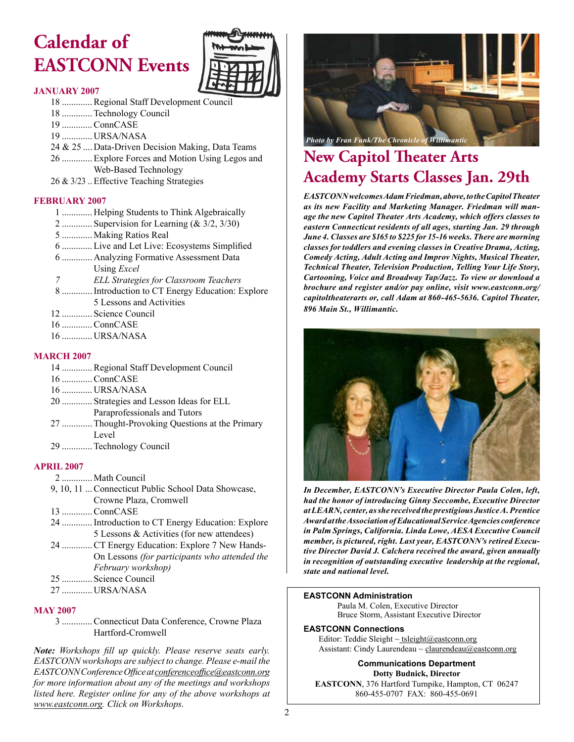# **Calendar of EASTCONN Events**



#### **JANUARY 2007**

- 18 .............Regional Staff Development Council
- 18 .............Technology Council
- 19 .............ConnCASE
- 19 ............. URSA/NASA
- 24 & 25 .... Data-Driven Decision Making, Data Teams
- 26 .............Explore Forces and Motion Using Legos and Web-Based Technology
- 26 & 3/23 ..Effective Teaching Strategies

#### **FEBRUARY 2007**

- 1 ............. Helping Students to Think Algebraically
- 2 .............. Supervision for Learning  $(\&$  3/2, 3/30)
- 5 ............. Making Ratios Real
- 6 .............Live and Let Live: Ecosystems Simplifed
- 6 ............. Analyzing Formative Assessment Data Using *Excel*
- *7 ELL Strategies for Classroom Teachers*
- 8 .............Introduction to CT Energy Education: Explore 5 Lessons and Activities
- 12 ............. Science Council
- 16 .............ConnCASE
- 16 ............. URSA/NASA

#### **MARCH 2007**

- 14 .............Regional Staff Development Council 16 .............ConnCASE 16 ............. URSA/NASA 20 ............. Strategies and Lesson Ideas for ELL Paraprofessionals and Tutors 27 .............Thought-Provoking Questions at the Primary Level
- 29 .............Technology Council

#### **APRIL 2007**

- 2 ............. Math Council
- 9, 10, 11 ...Connecticut Public School Data Showcase, Crowne Plaza, Cromwell
- 13 .............ConnCASE
- 24 .............Introduction to CT Energy Education: Explore 5 Lessons & Activities (for new attendees)
- 24 .............CT Energy Education: Explore 7 New Hands-On Lessons *(for participants who attended the February workshop)*
- 25 ............. Science Council
- 27 ............. URSA/NASA

#### **MAY 2007**

 3 .............Connecticut Data Conference, Crowne Plaza Hartford-Cromwell

*Note: Workshops fll up quickly. Please reserve seats early. EASTCONN workshops are subject to change. Please e-mail the EASTCONN Conference Offce at [conferenceoffce@eastconn.or](mailto:conferenceoffice@eastconn.org)g for more information about any of the meetings and workshops listed here. Register online for any of the above workshops at [www.eastconn.or](www.eastconn.org)g. Click on Workshops.* <sup>2</sup>



### **New Capitol !eater Arts Academy Starts Classes Jan. 29th**

*EASTCONN welcomes Adam Friedman, above, to the Capitol Theater as its new Facility and Marketing Manager. Friedman will manage the new Capitol Theater Arts Academy, which offers classes to eastern Connecticut residents of all ages, starting Jan. 29 through June 4. Classes are \$165 to \$225 for 15-16 weeks. There are morning classes for toddlers and evening classes in Creative Drama, Acting, Comedy Acting, Adult Acting and Improv Nights, Musical Theater, Technical Theater, Television Production, Telling Your Life Story, Cartooning, Voice and Broadway Tap/Jazz. To view or download a brochure and register and/or pay online, visit www.eastconn.org/ capitoltheaterarts or, call Adam at 860-465-5636. Capitol Theater, 896 Main St., Willimantic.*



*In December, EASTCONN's Executive Director Paula Colen, left, had the honor of introducing Ginny Seccombe, Executive Director at LEARN, center, as she received the prestigious Justice A. Prentice Award at the Association of Educational Service Agencies conference in Palm Springs, California. Linda Lowe, AESA Executive Council member, is pictured, right. Last year, EASTCONN's retired Executive Director David J. Calchera received the award, given annually in recognition of outstanding executive leadership at the regional, state and national level.*

#### **EASTCONN Administration**

Paula M. Colen, Executive Director Bruce Storm, Assistant Executive Director

#### **EASTCONN Connections**

Editor: Teddie Sleight  $\sim$  tsleight@eastconn.org Assistant: Cindy Laurendeau ~ [claurendeau@eastconn.org](mailto:claurendeau@eastconn.org)

**[Communications Department](%20mailto:connections@eastconn.org) [Dotty Budnick](mailto:dbudnick@eastconn.org), Director EASTCONN**, 376 Hartford Turnpike, Hampton, CT 06247 860-455-0707 FAX: 860-455-0691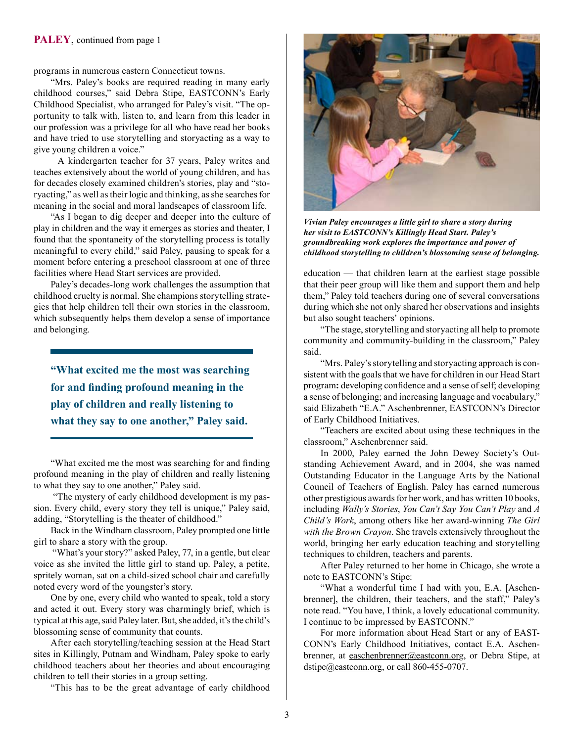programs in numerous eastern Connecticut towns.

"Mrs. Paley's books are required reading in many early childhood courses," said Debra Stipe, EASTCONN's Early Childhood Specialist, who arranged for Paley's visit. "The opportunity to talk with, listen to, and learn from this leader in our profession was a privilege for all who have read her books and have tried to use storytelling and storyacting as a way to give young children a voice."

 A kindergarten teacher for 37 years, Paley writes and teaches extensively about the world of young children, and has for decades closely examined children's stories, play and "storyacting," as well as their logic and thinking, as she searches for meaning in the social and moral landscapes of classroom life.

"As I began to dig deeper and deeper into the culture of play in children and the way it emerges as stories and theater, I found that the spontaneity of the storytelling process is totally meaningful to every child," said Paley, pausing to speak for a moment before entering a preschool classroom at one of three facilities where Head Start services are provided.

Paley's decades-long work challenges the assumption that childhood cruelty is normal. She champions storytelling strategies that help children tell their own stories in the classroom, which subsequently helps them develop a sense of importance and belonging.

**"What excited me the most was searching for and fnding profound meaning in the play of children and really listening to what they say to one another," Paley said.**

"What excited me the most was searching for and fnding profound meaning in the play of children and really listening to what they say to one another," Paley said.

 "The mystery of early childhood development is my passion. Every child, every story they tell is unique," Paley said, adding, "Storytelling is the theater of childhood."

Back in the Windham classroom, Paley prompted one little girl to share a story with the group.

 "What's your story?" asked Paley, 77, in a gentle, but clear voice as she invited the little girl to stand up. Paley, a petite, spritely woman, sat on a child-sized school chair and carefully noted every word of the youngster's story.

One by one, every child who wanted to speak, told a story and acted it out. Every story was charmingly brief, which is typical at this age, said Paley later. But, she added, it's the child's blossoming sense of community that counts.

After each storytelling/teaching session at the Head Start sites in Killingly, Putnam and Windham, Paley spoke to early childhood teachers about her theories and about encouraging children to tell their stories in a group setting.

"This has to be the great advantage of early childhood



*Vivian Paley encourages a little girl to share a story during her visit to EASTCONN's Killingly Head Start. Paley's groundbreaking work explores the importance and power of childhood storytelling to children's blossoming sense of belonging.* 

education — that children learn at the earliest stage possible that their peer group will like them and support them and help them," Paley told teachers during one of several conversations during which she not only shared her observations and insights but also sought teachers' opinions.

"The stage, storytelling and storyacting all help to promote community and community-building in the classroom," Paley said.

"Mrs. Paley's storytelling and storyacting approach is consistent with the goals that we have for children in our Head Start program**:** developing confdence and a sense of self; developing a sense of belonging; and increasing language and vocabulary," said Elizabeth "E.A." Aschenbrenner, EASTCONN's Director of Early Childhood Initiatives.

"Teachers are excited about using these techniques in the classroom," Aschenbrenner said.

In 2000, Paley earned the John Dewey Society's Outstanding Achievement Award, and in 2004, she was named Outstanding Educator in the Language Arts by the National Council of Teachers of English. Paley has earned numerous other prestigious awards for her work, and has written 10 books, including *Wally's Stories*, *You Can't Say You Can't Play* and *A Child's Work*, among others like her award-winning *The Girl with the Brown Crayon*. She travels extensively throughout the world, bringing her early education teaching and storytelling techniques to children, teachers and parents.

After Paley returned to her home in Chicago, she wrote a note to EASTCONN's Stipe:

"What a wonderful time I had with you, E.A. [Aschenbrenner], the children, their teachers, and the staff," Paley's note read. "You have, I think, a lovely educational community. I continue to be impressed by EASTCONN."

For more information about Head Start or any of EAST-CONN's Early Childhood Initiatives, contact E.A. Aschenbrenner, at easchenbrenner@eastconn.org, or Debra Stipe, at dstipe@eastconn.org, or call 860-455-0707.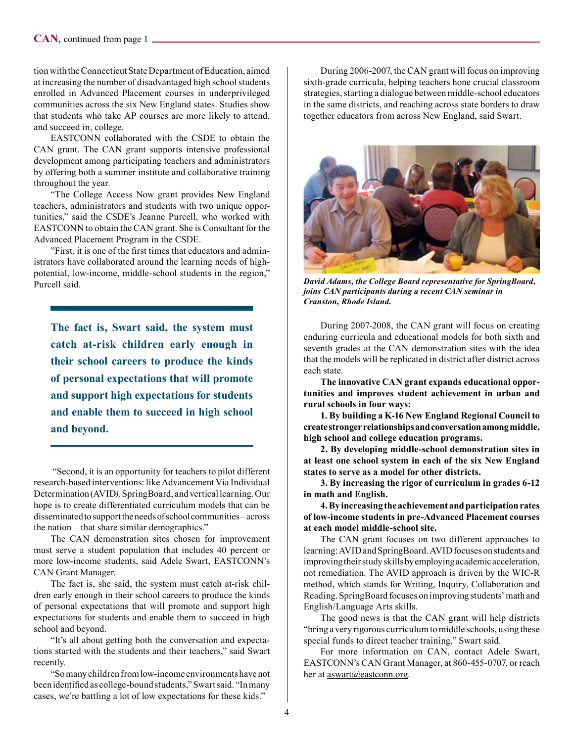tion with the Connecticut State Department of Education, aimed at increasing the number of disadvantaged high school students enrolled in Advanced Placement courses in underprivileged communities across the six New England states. Studies show that students who take AP courses are more likely to attend, and succeed in, college.

EASTCONN collaborated with the CSDE to obtain the CAN grant. The CAN grant supports intensive professional development among participating teachers and administrators by offering both a summer institute and collaborative training throughout the year.

"The College Access Now grant provides New England teachers, administrators and students with two unique opportunities," said the CSDE's Jeanne Purcell, who worked with EASTCONN to obtain the CAN grant. She is Consultant for the Advanced Placement Program in the CSDE.

"First, it is one of the frst times that educators and administrators have collaborated around the learning needs of highpotential, low-income, middle-school students in the region," Purcell said.

**The fact is, Swart said, the system must catch at-risk children early enough in their school careers to produce the kinds of personal expectations that will promote and support high expectations for students and enable them to succeed in high school and beyond.**

 "Second, it is an opportunity for teachers to pilot different research-based interventions: like Advancement Via Individual Determination (AVID*),* SpringBoard, and vertical learning. Our hope is to create differentiated curriculum models that can be disseminated to support the needs of school communities – across the nation – that share similar demographics."

The CAN demonstration sites chosen for improvement must serve a student population that includes 40 percent or more low-income students, said Adele Swart, EASTCONN's CAN Grant Manager.

The fact is, she said, the system must catch at-risk children early enough in their school careers to produce the kinds of personal expectations that will promote and support high expectations for students and enable them to succeed in high school and beyond.

"It's all about getting both the conversation and expectations started with the students and their teachers," said Swart recently.

"So many children from low-income environments have not been identifed as college-bound students," Swart said. "In many cases, we're battling a lot of low expectations for these kids."

During 2006-2007, the CAN grant will focus on improving sixth-grade curricula, helping teachers hone crucial classroom strategies, starting a dialogue between middle-school educators in the same districts, and reaching across state borders to draw together educators from across New England, said Swart.



*David Adams, the College Board representative for SpringBoard, joins CAN participants during a recent CAN seminar in Cranston, Rhode Island.*

During 2007-2008, the CAN grant will focus on creating enduring curricula and educational models for both sixth and seventh grades at the CAN demonstration sites with the idea that the models will be replicated in district after district across each state.

**The innovative CAN grant expands educational opportunities and improves student achievement in urban and rural schools in four ways:**

**1. By building a K-16 New England Regional Council to create stronger relationships and conversation among middle, high school and college education programs.**

**2. By developing middle-school demonstration sites in at least one school system in each of the six New England states to serve as a model for other districts.**

**3. By increasing the rigor of curriculum in grades 6-12 in math and English.**

**4. By increasing the achievement and participation rates of low-income students in pre-Advanced Placement courses at each model middle-school site.**

The CAN grant focuses on two different approaches to learning: AVID and SpringBoard. AVID focuses on students and improving their study skills by employing academic acceleration, not remediation. The AVID approach is driven by the WIC-R method, which stands for Writing, Inquiry, Collaboration and Reading. SpringBoard focuses on improving students' math and English/Language Arts skills.

The good news is that the CAN grant will help districts "bring a very rigorous curriculum to middle schools, using these special funds to direct teacher training," Swart said.

For more information on CAN, contact Adele Swart, EASTCONN's CAN Grant Manager, at 860-455-0707, or reach her at aswart@eastconn.org.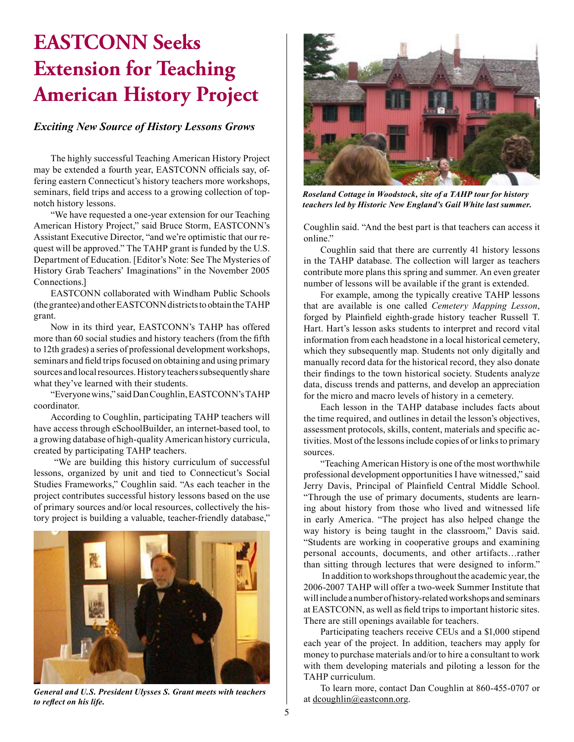# **EASTCONN Seeks Extension for Teaching American History Project**

#### *Exciting New Source of History Lessons Grows*

The highly successful Teaching American History Project may be extended a fourth year, EASTCONN officials say, offering eastern Connecticut's history teachers more workshops, seminars, feld trips and access to a growing collection of topnotch history lessons.

"We have requested a one-year extension for our Teaching American History Project," said Bruce Storm, EASTCONN's Assistant Executive Director, "and we're optimistic that our request will be approved." The TAHP grant is funded by the U.S. Department of Education. [Editor's Note: See The Mysteries of History Grab Teachers' Imaginations" in the November 2005 Connections.]

EASTCONN collaborated with Windham Public Schools (the grantee) and other EASTCONN districts to obtain the TAHP grant.

Now in its third year, EASTCONN's TAHP has offered more than 60 social studies and history teachers (from the ffth to 12th grades) a series of professional development workshops, seminars and feld trips focused on obtaining and using primary sources and local resources. History teachers subsequently share what they've learned with their students.

"Everyone wins," said Dan Coughlin, EASTCONN's TAHP coordinator.

According to Coughlin, participating TAHP teachers will have access through eSchoolBuilder, an internet-based tool, to a growing database of high-quality American history curricula, created by participating TAHP teachers.

 "We are building this history curriculum of successful lessons, organized by unit and tied to Connecticut's Social Studies Frameworks," Coughlin said. "As each teacher in the project contributes successful history lessons based on the use of primary sources and/or local resources, collectively the history project is building a valuable, teacher-friendly database,"



*General and U.S. President Ulysses S. Grant meets with teachers to refect on his life.*



*Roseland Cottage in Woodstock, site of a TAHP tour for history teachers led by Historic New England's Gail White last summer.*

Coughlin said. "And the best part is that teachers can access it online."

Coughlin said that there are currently 41 history lessons in the TAHP database. The collection will larger as teachers contribute more plans this spring and summer. An even greater number of lessons will be available if the grant is extended.

For example, among the typically creative TAHP lessons that are available is one called *Cemetery Mapping Lesson*, forged by Plainfeld eighth-grade history teacher Russell T. Hart. Hart's lesson asks students to interpret and record vital information from each headstone in a local historical cemetery, which they subsequently map. Students not only digitally and manually record data for the historical record, they also donate their fndings to the town historical society. Students analyze data, discuss trends and patterns, and develop an appreciation for the micro and macro levels of history in a cemetery.

Each lesson in the TAHP database includes facts about the time required, and outlines in detail the lesson's objectives, assessment protocols, skills, content, materials and specifc activities. Most of the lessons include copies of or links to primary sources.

"Teaching American History is one of the most worthwhile professional development opportunities I have witnessed," said Jerry Davis, Principal of Plainfeld Central Middle School. "Through the use of primary documents, students are learning about history from those who lived and witnessed life in early America. "The project has also helped change the way history is being taught in the classroom," Davis said. "Students are working in cooperative groups and examining personal accounts, documents, and other artifacts…rather than sitting through lectures that were designed to inform."

 In addition to workshops throughout the academic year, the 2006-2007 TAHP will offer a two-week Summer Institute that will include a number of history-related workshops and seminars at EASTCONN, as well as feld trips to important historic sites. There are still openings available for teachers.

Participating teachers receive CEUs and a \$1,000 stipend each year of the project. In addition, teachers may apply for money to purchase materials and/or to hire a consultant to work with them developing materials and piloting a lesson for the TAHP curriculum.

To learn more, contact Dan Coughlin at 860-455-0707 or at dcoughlin@eastconn.org.